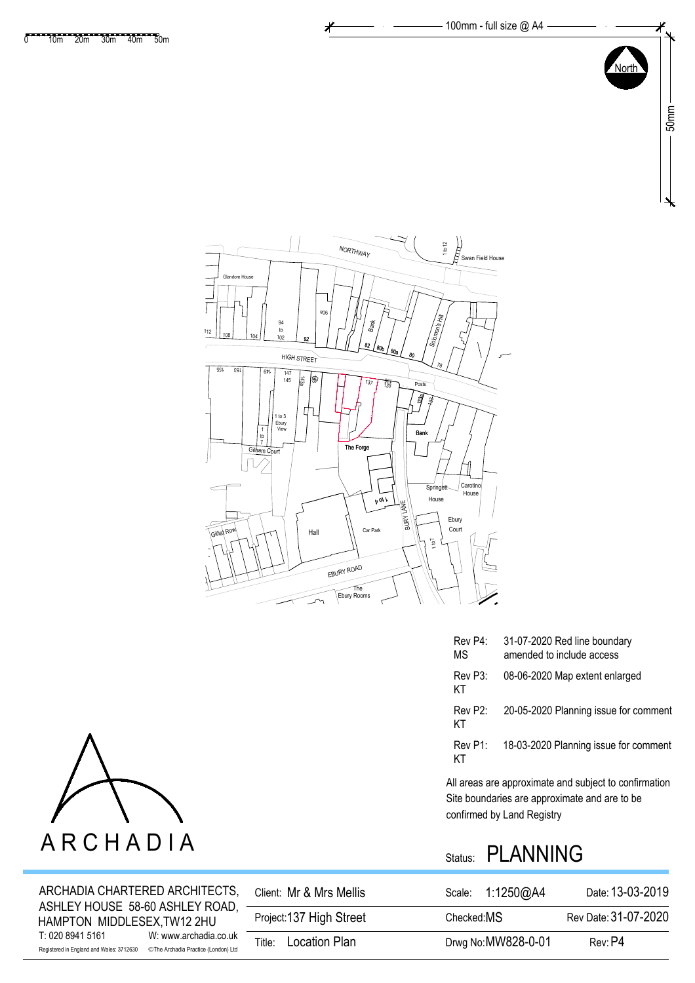

| Rev P4:<br>ΜS | 31-07-2020 Red line boundary<br>amended to include access |
|---------------|-----------------------------------------------------------|
| Rev P3:<br>KТ | 08-06-2020 Map extent enlarged                            |
| Rev P2:<br>ΚT | 20-05-2020 Planning issue for comment                     |
| Rev P1:<br>KТ | 18-03-2020 Planning issue for comment                     |

Site boundaries are approximate and are to be All areas are approximate and subject to confirmation confirmed by Land Registry

## Status: PLANNING

| ARCHADIA CHARTERED ARCHITECTS,<br>ASHLEY HOUSE 58-60 ASHLEY ROAD,                                                            | Client: Mr & Mrs Mellis | Scale: 1:1250@A4    | Date: 13-03-2019     |
|------------------------------------------------------------------------------------------------------------------------------|-------------------------|---------------------|----------------------|
| HAMPTON MIDDLESEX, TW12 2HU                                                                                                  | Project:137 High Street | Checked: MS         | Rev Date: 31-07-2020 |
| W: www.archadia.co.uk<br>T: 020 8941 5161<br>©The Archadia Practice (London) Ltd<br>Registered in England and Wales: 3712630 | Location Plan<br>Title: | Drwg No: MW828-0-01 | Rev: P4              |

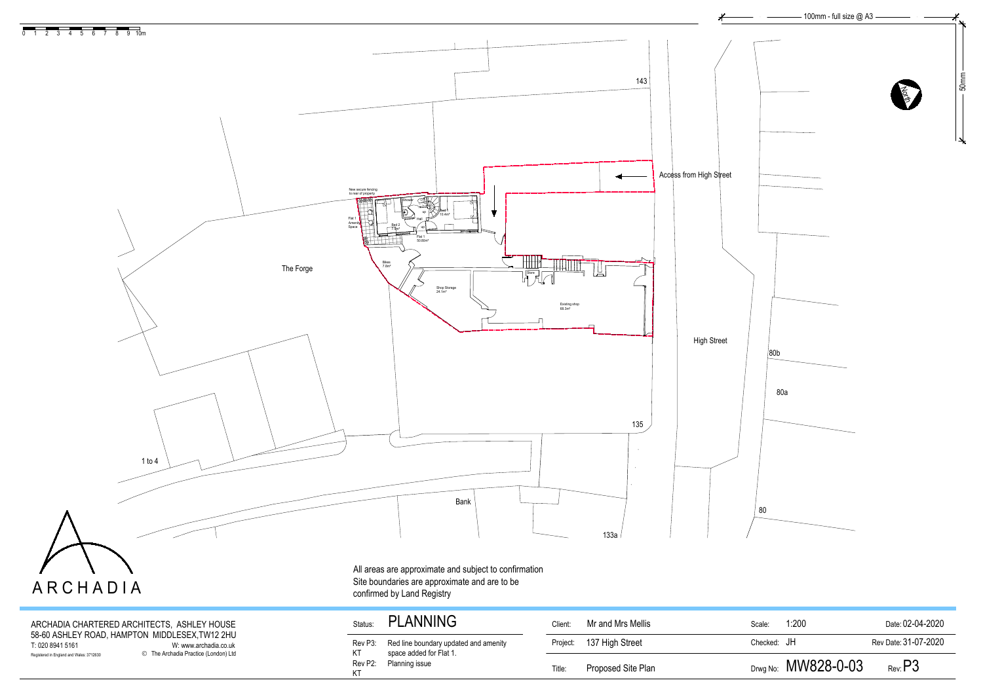ARCHADIA CHARTERED ARCHITECTS, ASHLEY HOUSE 58-60 ASHLEY ROAD, HAMPTON MIDDLESEX,TW12 2HU T: 020 8941 5161 W: www.archadia.co.uk Registered in England and Wales: 3712630 **C** The Archadia Practice (London) Ltd

## Status: PLANNING

| Client:  | Mr and Mrs Mellis  | Scale:      | 1:200                 | Date: 02-04-2020     |
|----------|--------------------|-------------|-----------------------|----------------------|
| Project: | 137 High Street    | Checked: JH |                       | Rev Date: 31-07-2020 |
| Title:   | Proposed Site Plan |             | Drwg No: $MW828-0-03$ | $_{\rm Rev.}$ P3     |



Rev P3: KT Red line boundary updated and amenity space added for Flat 1. Rev P2: Planning issueKT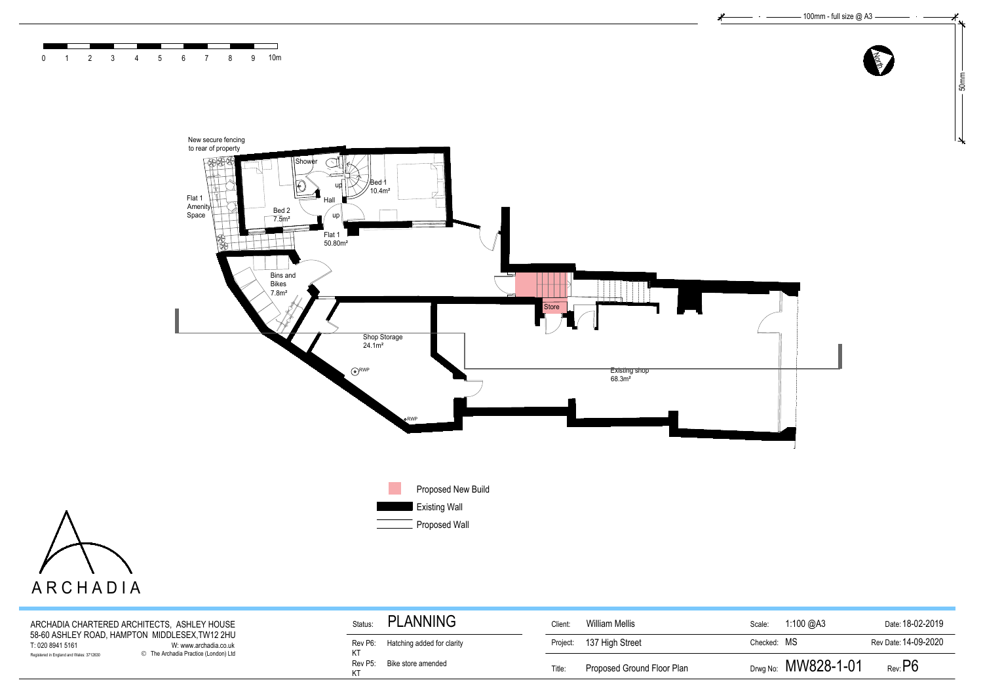

| egistered in England and Wales: 3712630     | © The Archadia Practice (London) Ltd | Rev P5:         | Bike store amended                 | Title:         | Proposed Ground Floor Plan |             | Drwg No: $MW828-1-01$ | $_{\rm Rev:}$ P6     |
|---------------------------------------------|--------------------------------------|-----------------|------------------------------------|----------------|----------------------------|-------------|-----------------------|----------------------|
| Г: 020 8941 5161                            | W: www.archadia.co.uk                |                 | Rev P6: Hatching added for clarity | Project:       | 137 High Street            | Checked: MS |                       | Rev Date: 14-09-2020 |
| ARCHADIA CHARTERED ARCHITECTS, ASHLEY HOUSE | Status:                              | <b>'LANNING</b> | Client:                            | William Mellis | Scale:                     | 1:100 @A3   | Date: 18-02-2019      |                      |
|                                             |                                      |                 |                                    |                |                            |             |                       |                      |



 $\sim$   $-$ 





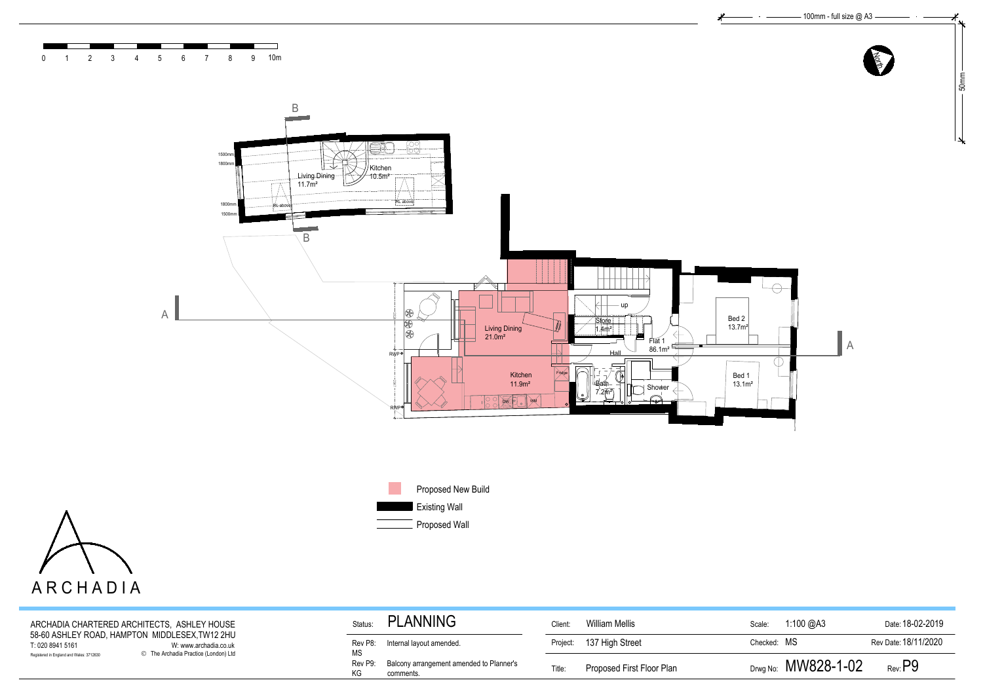





| ARCHADIA                                                                                   |               |                                                       |          |                           |             |                       |                      |
|--------------------------------------------------------------------------------------------|---------------|-------------------------------------------------------|----------|---------------------------|-------------|-----------------------|----------------------|
| ARCHADIA CHARTERED ARCHITECTS, ASHLEY HOUSE                                                | Status:       | <b>PLANNING</b>                                       | Client:  | William Mellis            | Scale:      | 1:100 @A3             | Date: 18-02-2019     |
| 58-60 ASHLEY ROAD, HAMPTON MIDDLESEX,TW12 2HU<br>T: 020 8941 5161<br>W: www.archadia.co.uk | Rev P8:<br>МS | Internal layout amended.                              | Project: | 137 High Street           | Checked: MS |                       | Rev Date: 18/11/2020 |
| © The Archadia Practice (London) Ltd<br>Registered in England and Wales: 3712630           | Rev P9:<br>KG | Balcony arrangement amended to Planner's<br>comments. | Title:   | Proposed First Floor Plan |             | Drwg No: $MW828-1-02$ | $_{\rm Rev.}$ P $9$  |
|                                                                                            |               |                                                       |          |                           |             |                       |                      |

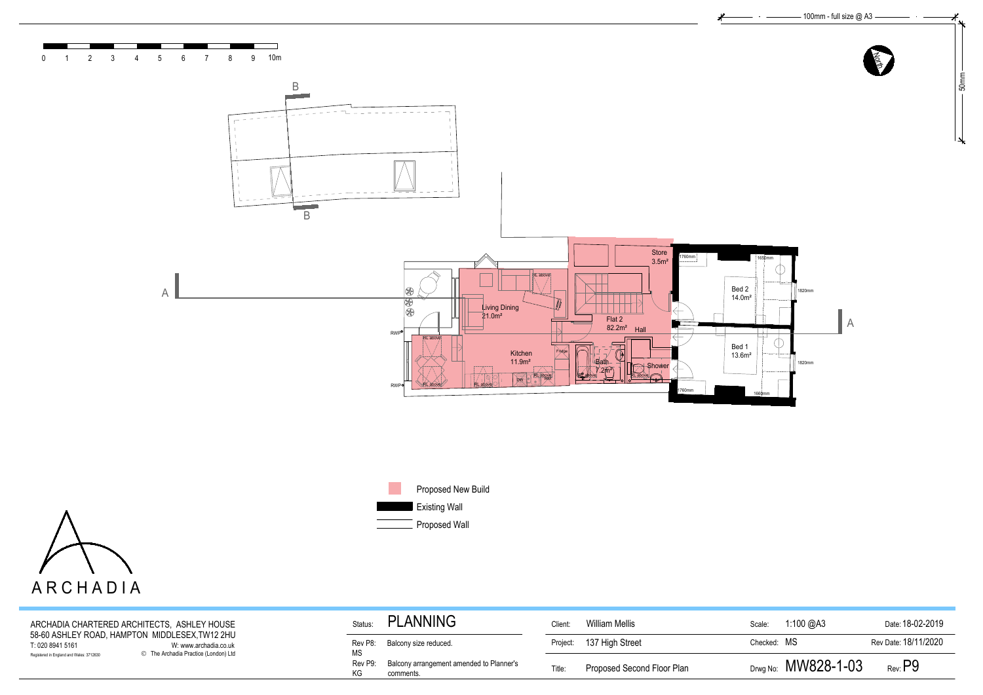

| ARCHADIA                                                                                                                                                                        |                                                                        |          |                            |             |                       |                                          |
|---------------------------------------------------------------------------------------------------------------------------------------------------------------------------------|------------------------------------------------------------------------|----------|----------------------------|-------------|-----------------------|------------------------------------------|
| ARCHADIA CHARTERED ARCHITECTS, ASHLEY HOUSE                                                                                                                                     | PLANNING<br>Status:                                                    | Client:  | William Mellis             | Scale:      | 1:100 @A3             | Date: 18-02-2019                         |
| 58-60 ASHLEY ROAD, HAMPTON MIDDLESEX, TW12 2HU<br>T: 020 8941 5161<br>W: www.archadia.co.uk<br>© The Archadia Practice (London) Ltd<br>Registered in England and Wales: 3712630 | Balcony size reduced.<br>Rev P8:<br><b>MS</b>                          | Project: | 137 High Street            | Checked: MS |                       | Rev Date: 18/11/2020<br>$_{\rm Rev:}$ P9 |
|                                                                                                                                                                                 | Balcony arrangement amended to Planner's<br>Rev P9:<br>KG<br>comments. | Title:   | Proposed Second Floor Plan |             | Drwg No: $MW828-1-03$ |                                          |
|                                                                                                                                                                                 |                                                                        |          |                            |             |                       |                                          |
|                                                                                                                                                                                 |                                                                        |          |                            |             |                       |                                          |

| William Mellis<br>1:100 $@A3$<br>Date: 18-02-2019<br>Scale:<br>Rev Date: 18/11/2020<br>137 High Street<br>Checked: MS |
|-----------------------------------------------------------------------------------------------------------------------|
|                                                                                                                       |
|                                                                                                                       |
| Drwg No: $MW828-1-03$<br>Rev: P9<br>Proposed Second Floor Plan                                                        |
|                                                                                                                       |
|                                                                                                                       |
|                                                                                                                       |





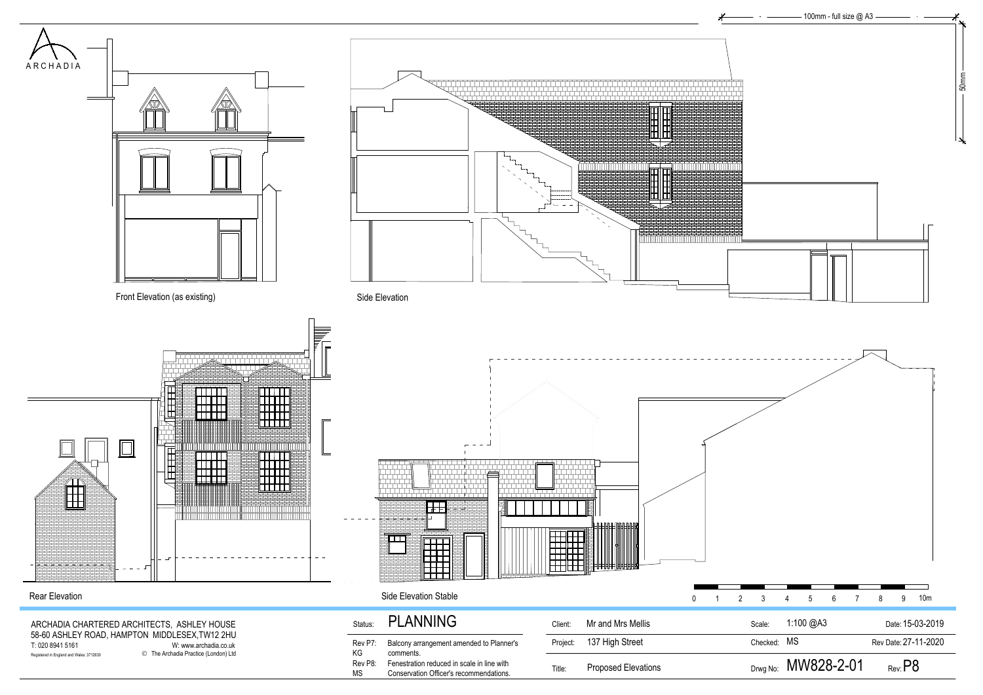